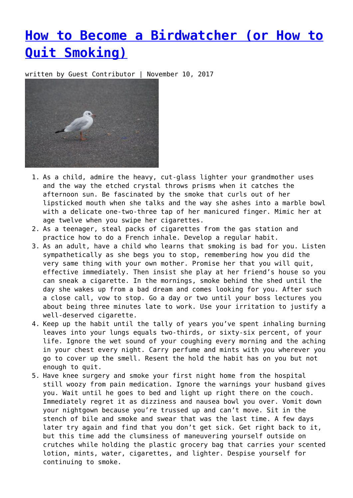## **[How to Become a Birdwatcher \(or How to](https://entropymag.org/how-to-become-a-birdwatcher-or-how-to-quit-smoking/) [Quit Smoking\)](https://entropymag.org/how-to-become-a-birdwatcher-or-how-to-quit-smoking/)**

written by Guest Contributor | November 10, 2017



- 1. As a child, admire the heavy, cut-glass lighter your grandmother uses and the way the etched crystal throws prisms when it catches the afternoon sun. Be fascinated by the smoke that curls out of her lipsticked mouth when she talks and the way she ashes into a marble bowl with a delicate one-two-three tap of her manicured finger. Mimic her at age twelve when you swipe her cigarettes.
- 2. As a teenager, steal packs of cigarettes from the gas station and practice how to do a French inhale. Develop a regular habit.
- 3. As an adult, have a child who learns that smoking is bad for you. Listen sympathetically as she begs you to stop, remembering how you did the very same thing with your own mother. Promise her that you will quit, effective immediately. Then insist she play at her friend's house so you can sneak a cigarette. In the mornings, smoke behind the shed until the day she wakes up from a bad dream and comes looking for you. After such a close call, vow to stop. Go a day or two until your boss lectures you about being three minutes late to work. Use your irritation to justify a well-deserved cigarette.
- 4. Keep up the habit until the tally of years you've spent inhaling burning leaves into your lungs equals two-thirds, or sixty-six percent, of your life. Ignore the wet sound of your coughing every morning and the aching in your chest every night. Carry perfume and mints with you wherever you go to cover up the smell. Resent the hold the habit has on you but not enough to quit.
- 5. Have knee surgery and smoke your first night home from the hospital still woozy from pain medication. Ignore the warnings your husband gives you. Wait until he goes to bed and light up right there on the couch. Immediately regret it as dizziness and nausea bowl you over. Vomit down your nightgown because you're trussed up and can't move. Sit in the stench of bile and smoke and swear that was the last time. A few days later try again and find that you don't get sick. Get right back to it, but this time add the clumsiness of maneuvering yourself outside on crutches while holding the plastic grocery bag that carries your scented lotion, mints, water, cigarettes, and lighter. Despise yourself for continuing to smoke.